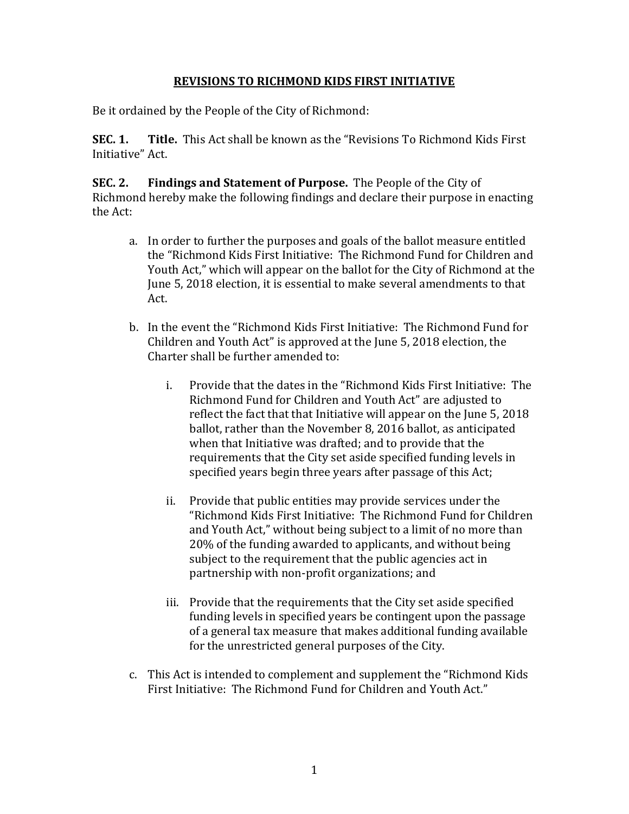## **REVISIONS TO RICHMOND KIDS FIRST INITIATIVE**

Be it ordained by the People of the City of Richmond:

**SEC. 1. Title.** This Act shall be known as the "Revisions To Richmond Kids First Initiative" Act.

**SEC. 2. Findings and Statement of Purpose.** The People of the City of Richmond hereby make the following findings and declare their purpose in enacting the Act:

- a. In order to further the purposes and goals of the ballot measure entitled the "Richmond Kids First Initiative: The Richmond Fund for Children and Youth Act," which will appear on the ballot for the City of Richmond at the June 5, 2018 election, it is essential to make several amendments to that Act.
- b. In the event the "Richmond Kids First Initiative: The Richmond Fund for Children and Youth Act" is approved at the June 5, 2018 election, the Charter shall be further amended to:
	- i. Provide that the dates in the "Richmond Kids First Initiative: The Richmond Fund for Children and Youth Act" are adjusted to reflect the fact that that Initiative will appear on the June 5, 2018 ballot, rather than the November 8, 2016 ballot, as anticipated when that Initiative was drafted; and to provide that the requirements that the City set aside specified funding levels in specified years begin three years after passage of this Act;
	- ii. Provide that public entities may provide services under the "Richmond Kids First Initiative: The Richmond Fund for Children and Youth Act," without being subject to a limit of no more than 20% of the funding awarded to applicants, and without being subject to the requirement that the public agencies act in partnership with non-profit organizations; and
	- iii. Provide that the requirements that the City set aside specified funding levels in specified years be contingent upon the passage of a general tax measure that makes additional funding available for the unrestricted general purposes of the City.
- c. This Act is intended to complement and supplement the "Richmond Kids First Initiative: The Richmond Fund for Children and Youth Act."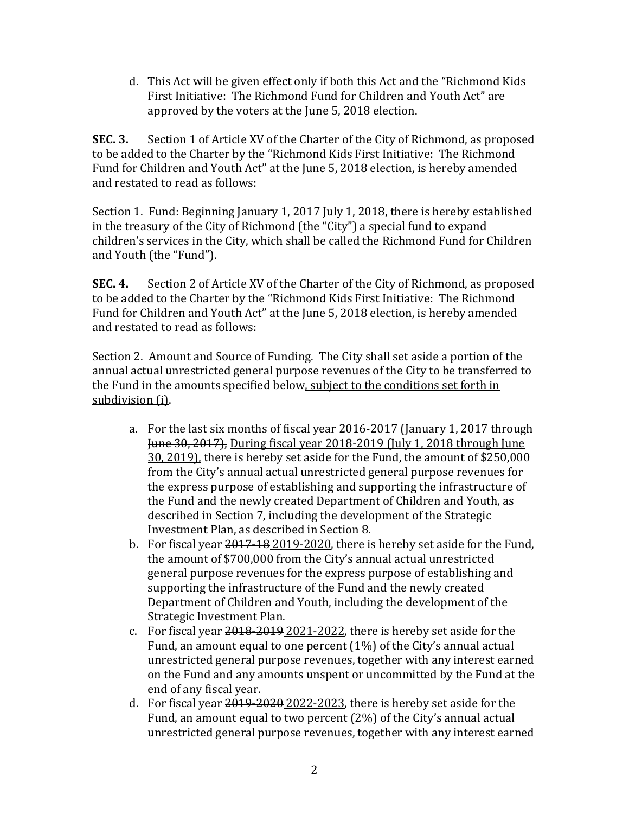d. This Act will be given effect only if both this Act and the "Richmond Kids First Initiative: The Richmond Fund for Children and Youth Act" are approved by the voters at the June 5, 2018 election.

**SEC. 3.** Section 1 of Article XV of the Charter of the City of Richmond, as proposed to be added to the Charter by the "Richmond Kids First Initiative: The Richmond Fund for Children and Youth Act" at the June 5, 2018 election, is hereby amended and restated to read as follows:

Section 1. Fund: Beginning January 1, 2017 July 1, 2018, there is hereby established in the treasury of the City of Richmond (the "City") a special fund to expand children's services in the City, which shall be called the Richmond Fund for Children and Youth (the "Fund").

**SEC. 4.** Section 2 of Article XV of the Charter of the City of Richmond, as proposed to be added to the Charter by the "Richmond Kids First Initiative: The Richmond Fund for Children and Youth Act" at the June 5, 2018 election, is hereby amended and restated to read as follows:

Section 2. Amount and Source of Funding. The City shall set aside a portion of the annual actual unrestricted general purpose revenues of the City to be transferred to the Fund in the amounts specified below, subject to the conditions set forth in subdivision (i).

- a. For the last six months of fiscal year 2016-2017 (January 1, 2017 through June 30, 2017), During fiscal year 2018-2019 (July 1, 2018 through June 30, 2019), there is hereby set aside for the Fund, the amount of \$250,000 from the City's annual actual unrestricted general purpose revenues for the express purpose of establishing and supporting the infrastructure of the Fund and the newly created Department of Children and Youth, as described in Section 7, including the development of the Strategic Investment Plan, as described in Section 8.
- b. For fiscal year 2017-18 2019-2020, there is hereby set aside for the Fund, the amount of \$700,000 from the City's annual actual unrestricted general purpose revenues for the express purpose of establishing and supporting the infrastructure of the Fund and the newly created Department of Children and Youth, including the development of the Strategic Investment Plan.
- c. For fiscal year 2018-2019 2021-2022, there is hereby set aside for the Fund, an amount equal to one percent (1%) of the City's annual actual unrestricted general purpose revenues, together with any interest earned on the Fund and any amounts unspent or uncommitted by the Fund at the end of any fiscal year.
- d. For fiscal year  $2019-2020-2022-2023$ , there is hereby set aside for the Fund, an amount equal to two percent (2%) of the City's annual actual unrestricted general purpose revenues, together with any interest earned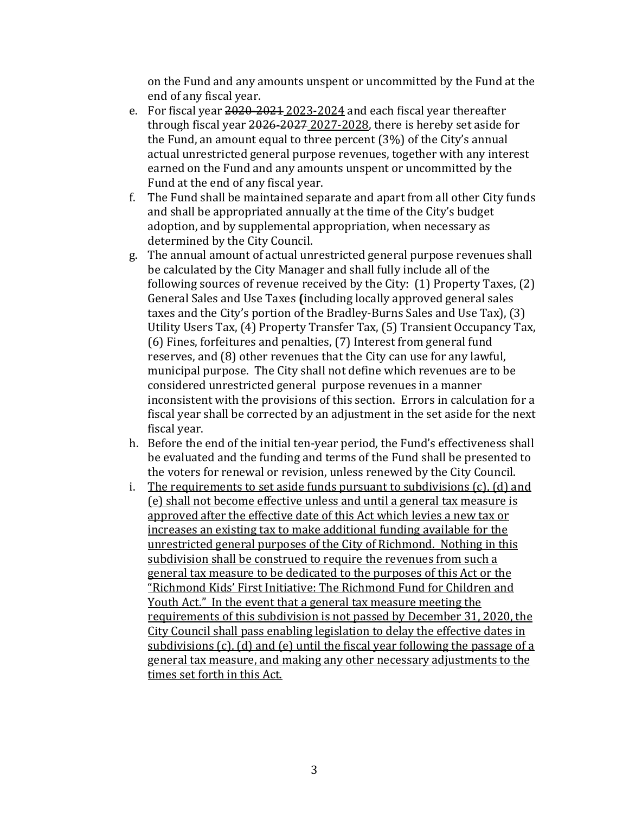on the Fund and any amounts unspent or uncommitted by the Fund at the end of any fiscal year.

- e. For fiscal year 2020-2021 2023-2024 and each fiscal year thereafter through fiscal year 2026-2027 2027-2028, there is hereby set aside for the Fund, an amount equal to three percent (3%) of the City's annual actual unrestricted general purpose revenues, together with any interest earned on the Fund and any amounts unspent or uncommitted by the Fund at the end of any fiscal year.
- f. The Fund shall be maintained separate and apart from all other City funds and shall be appropriated annually at the time of the City's budget adoption, and by supplemental appropriation, when necessary as determined by the City Council.
- g. The annual amount of actual unrestricted general purpose revenues shall be calculated by the City Manager and shall fully include all of the following sources of revenue received by the City: (1) Property Taxes, (2) General Sales and Use Taxes **(**including locally approved general sales taxes and the City's portion of the Bradley-Burns Sales and Use Tax), (3) Utility Users Tax, (4) Property Transfer Tax, (5) Transient Occupancy Tax, (6) Fines, forfeitures and penalties, (7) Interest from general fund reserves, and (8) other revenues that the City can use for any lawful, municipal purpose. The City shall not define which revenues are to be considered unrestricted general purpose revenues in a manner inconsistent with the provisions of this section. Errors in calculation for a fiscal year shall be corrected by an adjustment in the set aside for the next fiscal year.
- h. Before the end of the initial ten-year period, the Fund's effectiveness shall be evaluated and the funding and terms of the Fund shall be presented to the voters for renewal or revision, unless renewed by the City Council.
- i. The requirements to set aside funds pursuant to subdivisions (c), (d) and (e) shall not become effective unless and until a general tax measure is approved after the effective date of this Act which levies a new tax or increases an existing tax to make additional funding available for the unrestricted general purposes of the City of Richmond. Nothing in this subdivision shall be construed to require the revenues from such a general tax measure to be dedicated to the purposes of this Act or the "Richmond Kids' First Initiative: The Richmond Fund for Children and Youth Act." In the event that a general tax measure meeting the requirements of this subdivision is not passed by December 31, 2020, the City Council shall pass enabling legislation to delay the effective dates in subdivisions (c), (d) and (e) until the fiscal year following the passage of a general tax measure, and making any other necessary adjustments to the times set forth in this Act.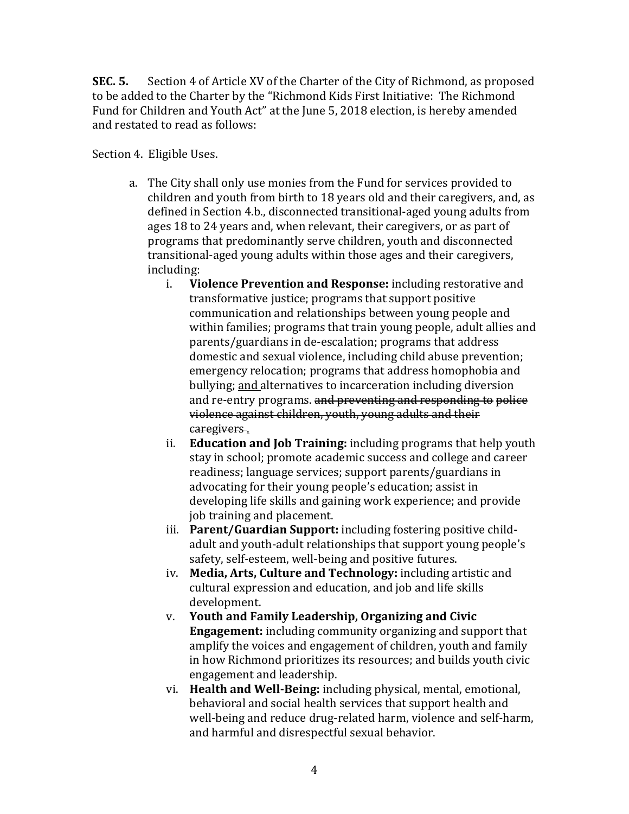**SEC. 5.** Section 4 of Article XV of the Charter of the City of Richmond, as proposed to be added to the Charter by the "Richmond Kids First Initiative: The Richmond Fund for Children and Youth Act" at the June 5, 2018 election, is hereby amended and restated to read as follows:

Section 4. Eligible Uses.

- a. The City shall only use monies from the Fund for services provided to children and youth from birth to 18 years old and their caregivers, and, as defined in Section 4.b., disconnected transitional-aged young adults from ages 18 to 24 years and, when relevant, their caregivers, or as part of programs that predominantly serve children, youth and disconnected transitional-aged young adults within those ages and their caregivers, including:<br>i. Vi
	- i. **Violence Prevention and Response:** including restorative and transformative justice; programs that support positive communication and relationships between young people and within families; programs that train young people, adult allies and parents/guardians in de-escalation; programs that address domestic and sexual violence, including child abuse prevention; emergency relocation; programs that address homophobia and bullying; and alternatives to incarceration including diversion and re-entry programs. and preventing and responding to police violence against children, youth, young adults and their caregivers .
	- ii. **Education and Job Training:** including programs that help youth stay in school; promote academic success and college and career readiness; language services; support parents/guardians in advocating for their young people's education; assist in developing life skills and gaining work experience; and provide job training and placement.
	- iii. **Parent/Guardian Support:** including fostering positive childadult and youth-adult relationships that support young people's safety, self-esteem, well-being and positive futures.
	- iv. **Media, Arts, Culture and Technology:** including artistic and cultural expression and education, and job and life skills development.
	- v. **Youth and Family Leadership, Organizing and Civic Engagement:** including community organizing and support that amplify the voices and engagement of children, youth and family in how Richmond prioritizes its resources; and builds youth civic engagement and leadership.
	- vi. **Health and Well-Being:** including physical, mental, emotional, behavioral and social health services that support health and well-being and reduce drug-related harm, violence and self-harm, and harmful and disrespectful sexual behavior.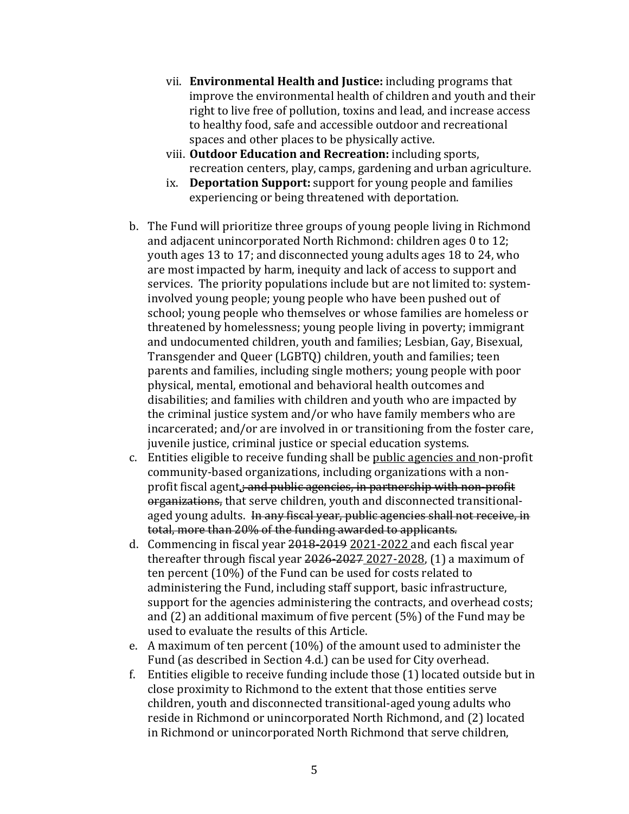- vii. **Environmental Health and Justice:** including programs that improve the environmental health of children and youth and their right to live free of pollution, toxins and lead, and increase access to healthy food, safe and accessible outdoor and recreational spaces and other places to be physically active.
- viii. **Outdoor Education and Recreation:** including sports, recreation centers, play, camps, gardening and urban agriculture.
- ix. **Deportation Support:** support for young people and families experiencing or being threatened with deportation.
- b. The Fund will prioritize three groups of young people living in Richmond and adjacent unincorporated North Richmond: children ages 0 to 12; youth ages 13 to 17; and disconnected young adults ages 18 to 24, who are most impacted by harm, inequity and lack of access to support and services. The priority populations include but are not limited to: systeminvolved young people; young people who have been pushed out of school; young people who themselves or whose families are homeless or threatened by homelessness; young people living in poverty; immigrant and undocumented children, youth and families; Lesbian, Gay, Bisexual, Transgender and Queer (LGBTQ) children, youth and families; teen parents and families, including single mothers; young people with poor physical, mental, emotional and behavioral health outcomes and disabilities; and families with children and youth who are impacted by the criminal justice system and/or who have family members who are incarcerated; and/or are involved in or transitioning from the foster care, juvenile justice, criminal justice or special education systems.
- c. Entities eligible to receive funding shall be public agencies and non-profit community-based organizations, including organizations with a nonprofit fiscal agent<sub>i</sub>; and public agencies, in partnership with non-profit organizations, that serve children, youth and disconnected transitionalaged young adults. In any fiscal year, public agencies shall not receive, in total, more than 20% of the funding awarded to applicants.
- d. Commencing in fiscal year 2018-2019 2021-2022 and each fiscal year thereafter through fiscal year 2026-2027 2027-2028, (1) a maximum of ten percent (10%) of the Fund can be used for costs related to administering the Fund, including staff support, basic infrastructure, support for the agencies administering the contracts, and overhead costs; and (2) an additional maximum of five percent (5%) of the Fund may be used to evaluate the results of this Article.
- e. A maximum of ten percent (10%) of the amount used to administer the Fund (as described in Section 4.d.) can be used for City overhead.
- f. Entities eligible to receive funding include those (1) located outside but in close proximity to Richmond to the extent that those entities serve children, youth and disconnected transitional-aged young adults who reside in Richmond or unincorporated North Richmond, and (2) located in Richmond or unincorporated North Richmond that serve children,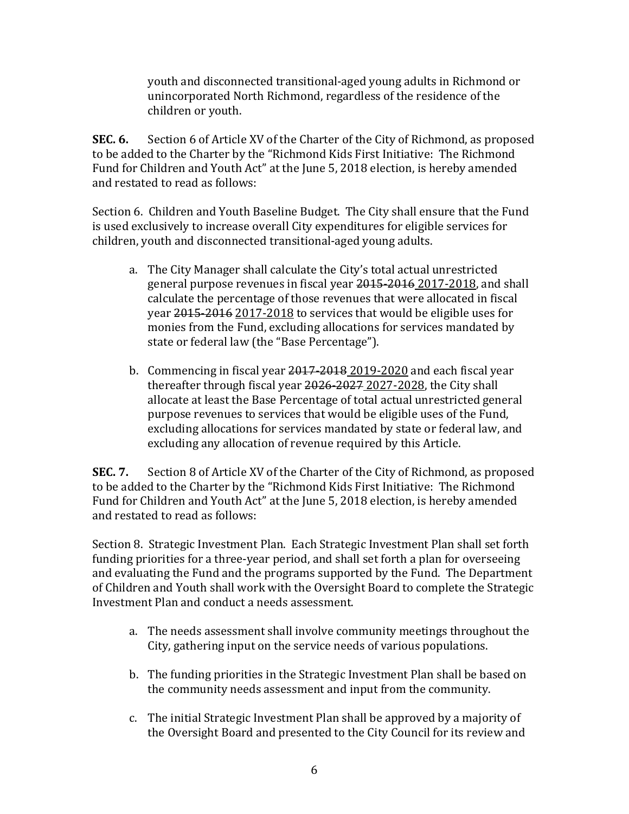youth and disconnected transitional-aged young adults in Richmond or unincorporated North Richmond, regardless of the residence of the children or youth.

**SEC. 6.** Section 6 of Article XV of the Charter of the City of Richmond, as proposed to be added to the Charter by the "Richmond Kids First Initiative: The Richmond Fund for Children and Youth Act" at the June 5, 2018 election, is hereby amended and restated to read as follows:

Section 6. Children and Youth Baseline Budget. The City shall ensure that the Fund is used exclusively to increase overall City expenditures for eligible services for children, youth and disconnected transitional-aged young adults.

- a. The City Manager shall calculate the City's total actual unrestricted general purpose revenues in fiscal year 2015-2016 2017-2018, and shall calculate the percentage of those revenues that were allocated in fiscal year 2015-2016 2017-2018 to services that would be eligible uses for monies from the Fund, excluding allocations for services mandated by state or federal law (the "Base Percentage").
- b. Commencing in fiscal year 2017-2018 2019-2020 and each fiscal year thereafter through fiscal year 2026-2027 2027-2028, the City shall allocate at least the Base Percentage of total actual unrestricted general purpose revenues to services that would be eligible uses of the Fund, excluding allocations for services mandated by state or federal law, and excluding any allocation of revenue required by this Article.

**SEC. 7.** Section 8 of Article XV of the Charter of the City of Richmond, as proposed to be added to the Charter by the "Richmond Kids First Initiative: The Richmond Fund for Children and Youth Act" at the June 5, 2018 election, is hereby amended and restated to read as follows:

Section 8. Strategic Investment Plan. Each Strategic Investment Plan shall set forth funding priorities for a three-year period, and shall set forth a plan for overseeing and evaluating the Fund and the programs supported by the Fund. The Department of Children and Youth shall work with the Oversight Board to complete the Strategic Investment Plan and conduct a needs assessment.

- a. The needs assessment shall involve community meetings throughout the City, gathering input on the service needs of various populations.
- b. The funding priorities in the Strategic Investment Plan shall be based on the community needs assessment and input from the community.
- c. The initial Strategic Investment Plan shall be approved by a majority of the Oversight Board and presented to the City Council for its review and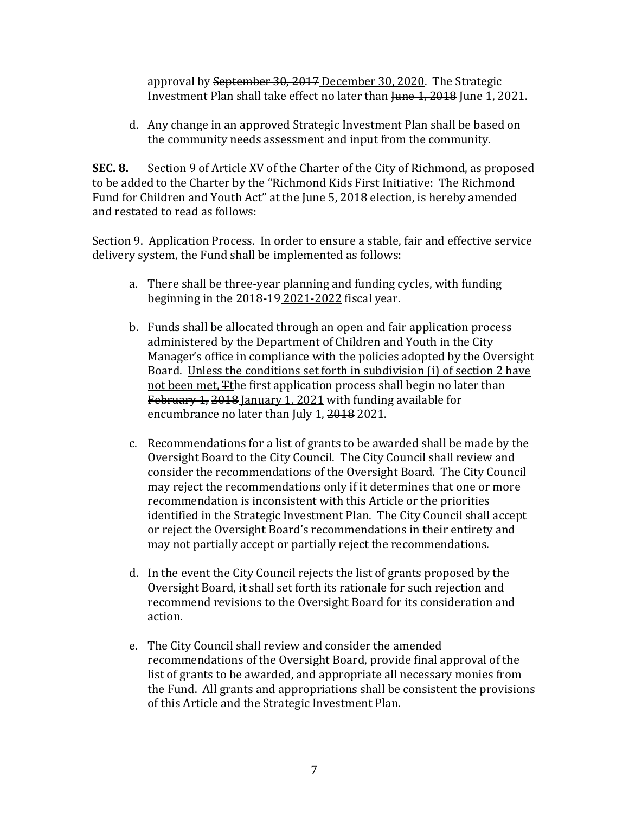approval by September 30, 2017 December 30, 2020. The Strategic Investment Plan shall take effect no later than Hune 1, 2018 June 1, 2021.

d. Any change in an approved Strategic Investment Plan shall be based on the community needs assessment and input from the community.

**SEC. 8.** Section 9 of Article XV of the Charter of the City of Richmond, as proposed to be added to the Charter by the "Richmond Kids First Initiative: The Richmond Fund for Children and Youth Act" at the June 5, 2018 election, is hereby amended and restated to read as follows:

Section 9. Application Process. In order to ensure a stable, fair and effective service delivery system, the Fund shall be implemented as follows:

- a. There shall be three-year planning and funding cycles, with funding beginning in the 2018-19 2021-2022 fiscal year.
- b. Funds shall be allocated through an open and fair application process administered by the Department of Children and Youth in the City Manager's office in compliance with the policies adopted by the Oversight Board. Unless the conditions set forth in subdivision (i) of section 2 have not been met, Tthe first application process shall begin no later than February 1, 2018 January 1, 2021 with funding available for encumbrance no later than July 1, 2018 2021.
- c. Recommendations for a list of grants to be awarded shall be made by the Oversight Board to the City Council. The City Council shall review and consider the recommendations of the Oversight Board. The City Council may reject the recommendations only if it determines that one or more recommendation is inconsistent with this Article or the priorities identified in the Strategic Investment Plan. The City Council shall accept or reject the Oversight Board's recommendations in their entirety and may not partially accept or partially reject the recommendations.
- d. In the event the City Council rejects the list of grants proposed by the Oversight Board, it shall set forth its rationale for such rejection and recommend revisions to the Oversight Board for its consideration and action.
- e. The City Council shall review and consider the amended recommendations of the Oversight Board, provide final approval of the list of grants to be awarded, and appropriate all necessary monies from the Fund. All grants and appropriations shall be consistent the provisions of this Article and the Strategic Investment Plan.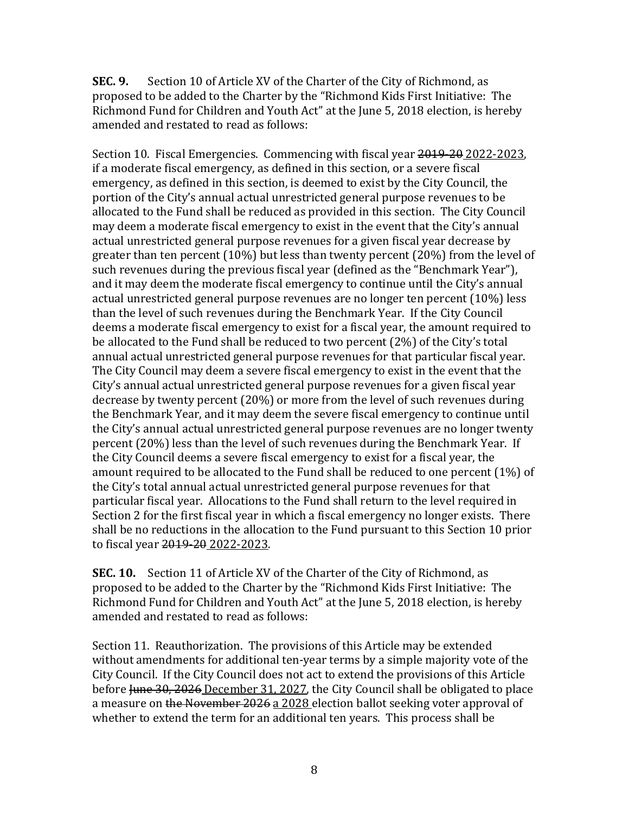**SEC. 9.** Section 10 of Article XV of the Charter of the City of Richmond, as proposed to be added to the Charter by the "Richmond Kids First Initiative: The Richmond Fund for Children and Youth Act" at the June 5, 2018 election, is hereby amended and restated to read as follows:

Section 10. Fiscal Emergencies.Commencing with fiscal year 2019-20 2022-2023, if a moderate fiscal emergency, as defined in this section, or a severe fiscal emergency, as defined in this section, is deemed to exist by the City Council, the portion of the City's annual actual unrestricted general purpose revenues to be allocated to the Fund shall be reduced as provided in this section. The City Council may deem a moderate fiscal emergency to exist in the event that the City's annual actual unrestricted general purpose revenues for a given fiscal year decrease by greater than ten percent (10%) but less than twenty percent (20%) from the level of such revenues during the previous fiscal year (defined as the "Benchmark Year"), and it may deem the moderate fiscal emergency to continue until the City's annual actual unrestricted general purpose revenues are no longer ten percent (10%) less than the level of such revenues during the Benchmark Year. If the City Council deems a moderate fiscal emergency to exist for a fiscal year, the amount required to be allocated to the Fund shall be reduced to two percent (2%) of the City's total annual actual unrestricted general purpose revenues for that particular fiscal year. The City Council may deem a severe fiscal emergency to exist in the event that the City's annual actual unrestricted general purpose revenues for a given fiscal year decrease by twenty percent (20%) or more from the level of such revenues during the Benchmark Year, and it may deem the severe fiscal emergency to continue until the City's annual actual unrestricted general purpose revenues are no longer twenty percent (20%) less than the level of such revenues during the Benchmark Year. If the City Council deems a severe fiscal emergency to exist for a fiscal year, the amount required to be allocated to the Fund shall be reduced to one percent (1%) of the City's total annual actual unrestricted general purpose revenues for that particular fiscal year. Allocations to the Fund shall return to the level required in Section 2 for the first fiscal year in which a fiscal emergency no longer exists. There shall be no reductions in the allocation to the Fund pursuant to this Section 10 prior to fiscal year 2019-20 2022-2023.

**SEC. 10.** Section 11 of Article XV of the Charter of the City of Richmond, as proposed to be added to the Charter by the "Richmond Kids First Initiative: The Richmond Fund for Children and Youth Act" at the June 5, 2018 election, is hereby amended and restated to read as follows:

Section 11. Reauthorization. The provisions of this Article may be extended without amendments for additional ten-year terms by a simple majority vote of the City Council. If the City Council does not act to extend the provisions of this Article before Hune 30, 2026 December 31, 2027, the City Council shall be obligated to place a measure on the November 2026 a 2028 election ballot seeking voter approval of whether to extend the term for an additional ten years. This process shall be